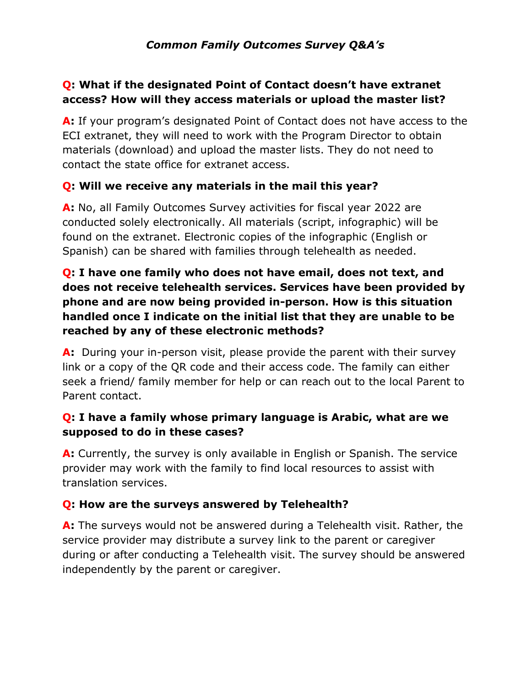# *Common Family Outcomes Survey Q&A's*

# **Q: What if the designated Point of Contact doesn't have extranet access? How will they access materials or upload the master list?**

**A:** If your program's designated Point of Contact does not have access to the ECI extranet, they will need to work with the Program Director to obtain materials (download) and upload the master lists. They do not need to contact the state office for extranet access.

#### **Q: Will we receive any materials in the mail this year?**

**A:** No, all Family Outcomes Survey activities for fiscal year 2022 are conducted solely electronically. All materials (script, infographic) will be found on the extranet. Electronic copies of the infographic (English or Spanish) can be shared with families through telehealth as needed.

# **Q: I have one family who does not have email, does not text, and does not receive telehealth services. Services have been provided by phone and are now being provided in-person. How is this situation handled once I indicate on the initial list that they are unable to be reached by any of these electronic methods?**

**A:** During your in-person visit, please provide the parent with their survey link or a copy of the QR code and their access code. The family can either seek a friend/ family member for help or can reach out to the local Parent to Parent contact.

### **Q: I have a family whose primary language is Arabic, what are we supposed to do in these cases?**

**A:** Currently, the survey is only available in English or Spanish. The service provider may work with the family to find local resources to assist with translation services.

### **Q: How are the surveys answered by Telehealth?**

**A:** The surveys would not be answered during a Telehealth visit. Rather, the service provider may distribute a survey link to the parent or caregiver during or after conducting a Telehealth visit. The survey should be answered independently by the parent or caregiver.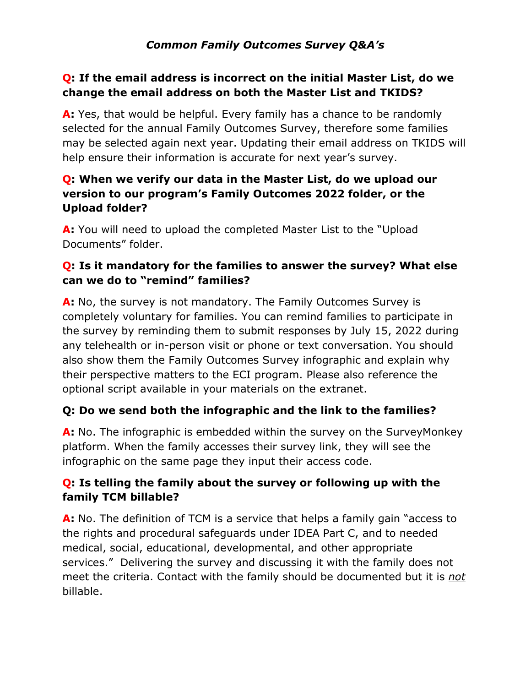## **Q: If the email address is incorrect on the initial Master List, do we change the email address on both the Master List and TKIDS?**

A: Yes, that would be helpful. Every family has a chance to be randomly selected for the annual Family Outcomes Survey, therefore some families may be selected again next year. Updating their email address on TKIDS will help ensure their information is accurate for next year's survey.

# **Q: When we verify our data in the Master List, do we upload our version to our program's Family Outcomes 2022 folder, or the Upload folder?**

**A:** You will need to upload the completed Master List to the "Upload Documents" folder.

# **Q: Is it mandatory for the families to answer the survey? What else can we do to "remind" families?**

**A:** No, the survey is not mandatory. The Family Outcomes Survey is completely voluntary for families. You can remind families to participate in the survey by reminding them to submit responses by July 15, 2022 during any telehealth or in-person visit or phone or text conversation. You should also show them the Family Outcomes Survey infographic and explain why their perspective matters to the ECI program. Please also reference the optional script available in your materials on the extranet.

# **Q: Do we send both the infographic and the link to the families?**

**A:** No. The infographic is embedded within the survey on the SurveyMonkey platform. When the family accesses their survey link, they will see the infographic on the same page they input their access code.

# **Q: Is telling the family about the survey or following up with the family TCM billable?**

**A:** No. The definition of TCM is a service that helps a family gain "access to the rights and procedural safeguards under IDEA Part C, and to needed medical, social, educational, developmental, and other appropriate services." Delivering the survey and discussing it with the family does not meet the criteria. Contact with the family should be documented but it is *not* billable.